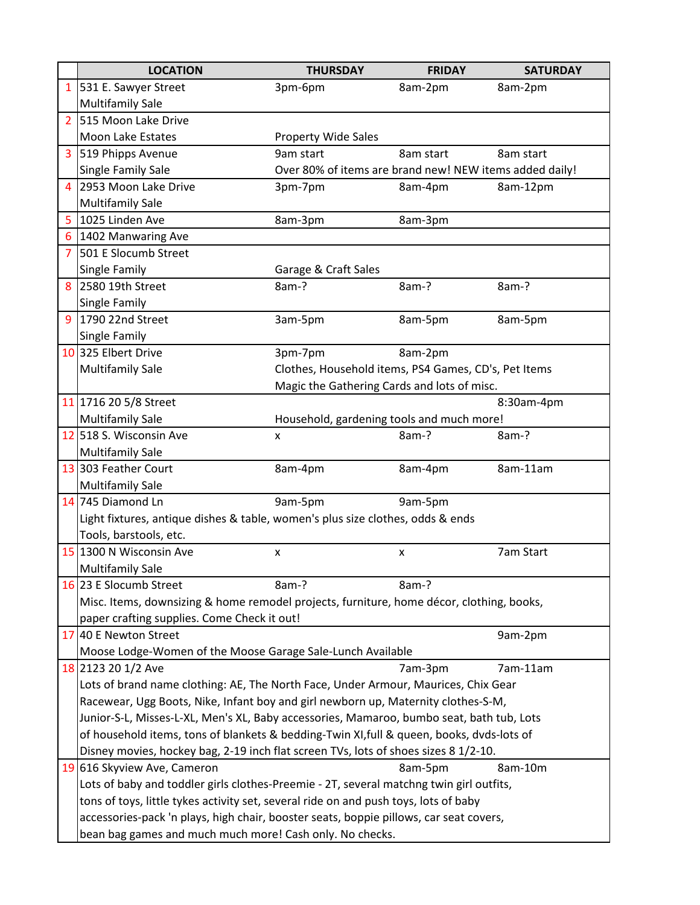|                | <b>LOCATION</b>                                                                          | <b>THURSDAY</b>                                                                          | <b>FRIDAY</b> | <b>SATURDAY</b> |  |  |
|----------------|------------------------------------------------------------------------------------------|------------------------------------------------------------------------------------------|---------------|-----------------|--|--|
| $\mathbf{1}$   | 531 E. Sawyer Street                                                                     | 3pm-6pm                                                                                  | 8am-2pm       | 8am-2pm         |  |  |
|                | <b>Multifamily Sale</b>                                                                  |                                                                                          |               |                 |  |  |
| $\overline{2}$ | 515 Moon Lake Drive                                                                      |                                                                                          |               |                 |  |  |
|                | Moon Lake Estates                                                                        | Property Wide Sales                                                                      |               |                 |  |  |
| 3              | 519 Phipps Avenue                                                                        | 9am start                                                                                | 8am start     | 8am start       |  |  |
|                | Single Family Sale                                                                       | Over 80% of items are brand new! NEW items added daily!                                  |               |                 |  |  |
| 4              | 2953 Moon Lake Drive                                                                     | 3pm-7pm                                                                                  | 8am-4pm       | 8am-12pm        |  |  |
|                | <b>Multifamily Sale</b>                                                                  |                                                                                          |               |                 |  |  |
| 5              | 1025 Linden Ave                                                                          | 8am-3pm                                                                                  | 8am-3pm       |                 |  |  |
| 6              | 1402 Manwaring Ave                                                                       |                                                                                          |               |                 |  |  |
| 7              | 501 E Slocumb Street                                                                     |                                                                                          |               |                 |  |  |
|                | Single Family                                                                            | Garage & Craft Sales                                                                     |               |                 |  |  |
| 8              | 2580 19th Street                                                                         | 8am-?                                                                                    | 8am-?         | 8am-?           |  |  |
|                | Single Family                                                                            |                                                                                          |               |                 |  |  |
| 9              | 1790 22nd Street                                                                         | 3am-5pm                                                                                  | 8am-5pm       | 8am-5pm         |  |  |
|                | Single Family                                                                            |                                                                                          |               |                 |  |  |
|                | 10 325 Elbert Drive                                                                      | 8am-2pm<br>3pm-7pm                                                                       |               |                 |  |  |
|                | <b>Multifamily Sale</b>                                                                  | Clothes, Household items, PS4 Games, CD's, Pet Items                                     |               |                 |  |  |
|                |                                                                                          | Magic the Gathering Cards and lots of misc.                                              |               |                 |  |  |
|                | 11 1716 20 5/8 Street                                                                    | 8:30am-4pm                                                                               |               |                 |  |  |
|                | <b>Multifamily Sale</b>                                                                  | Household, gardening tools and much more!                                                |               |                 |  |  |
|                | 12 518 S. Wisconsin Ave                                                                  | X                                                                                        | 8am-?         | 8am-?           |  |  |
|                | <b>Multifamily Sale</b><br>13 303 Feather Court                                          |                                                                                          |               |                 |  |  |
|                |                                                                                          | 8am-4pm                                                                                  | 8am-4pm       | 8am-11am        |  |  |
|                | <b>Multifamily Sale</b><br>14 745 Diamond Ln                                             | 9am-5pm                                                                                  | 9am-5pm       |                 |  |  |
|                | Light fixtures, antique dishes & table, women's plus size clothes, odds & ends           |                                                                                          |               |                 |  |  |
|                | Tools, barstools, etc.                                                                   |                                                                                          |               |                 |  |  |
|                | 15 1300 N Wisconsin Ave                                                                  | X                                                                                        | x             | 7am Start       |  |  |
|                | <b>Multifamily Sale</b>                                                                  |                                                                                          |               |                 |  |  |
|                | 16 23 E Slocumb Street                                                                   | 8am-?                                                                                    | 8am-?         |                 |  |  |
|                |                                                                                          | Misc. Items, downsizing & home remodel projects, furniture, home décor, clothing, books, |               |                 |  |  |
|                | paper crafting supplies. Come Check it out!                                              |                                                                                          |               |                 |  |  |
|                | 17 40 E Newton Street                                                                    |                                                                                          |               | 9am-2pm         |  |  |
|                | Moose Lodge-Women of the Moose Garage Sale-Lunch Available                               |                                                                                          |               |                 |  |  |
|                | 18 2123 20 1/2 Ave                                                                       |                                                                                          | 7am-3pm       | 7am-11am        |  |  |
|                | Lots of brand name clothing: AE, The North Face, Under Armour, Maurices, Chix Gear       |                                                                                          |               |                 |  |  |
|                | Racewear, Ugg Boots, Nike, Infant boy and girl newborn up, Maternity clothes-S-M,        |                                                                                          |               |                 |  |  |
|                | Junior-S-L, Misses-L-XL, Men's XL, Baby accessories, Mamaroo, bumbo seat, bath tub, Lots |                                                                                          |               |                 |  |  |
|                |                                                                                          | of household items, tons of blankets & bedding-Twin XI,full & queen, books, dvds-lots of |               |                 |  |  |
|                | Disney movies, hockey bag, 2-19 inch flat screen TVs, lots of shoes sizes 8 1/2-10.      |                                                                                          |               |                 |  |  |
|                | 19 616 Skyview Ave, Cameron                                                              |                                                                                          | 8am-5pm       | 8am-10m         |  |  |
|                | Lots of baby and toddler girls clothes-Preemie - 2T, several matchng twin girl outfits,  |                                                                                          |               |                 |  |  |
|                | tons of toys, little tykes activity set, several ride on and push toys, lots of baby     |                                                                                          |               |                 |  |  |
|                | accessories-pack 'n plays, high chair, booster seats, boppie pillows, car seat covers,   |                                                                                          |               |                 |  |  |
|                | bean bag games and much much more! Cash only. No checks.                                 |                                                                                          |               |                 |  |  |